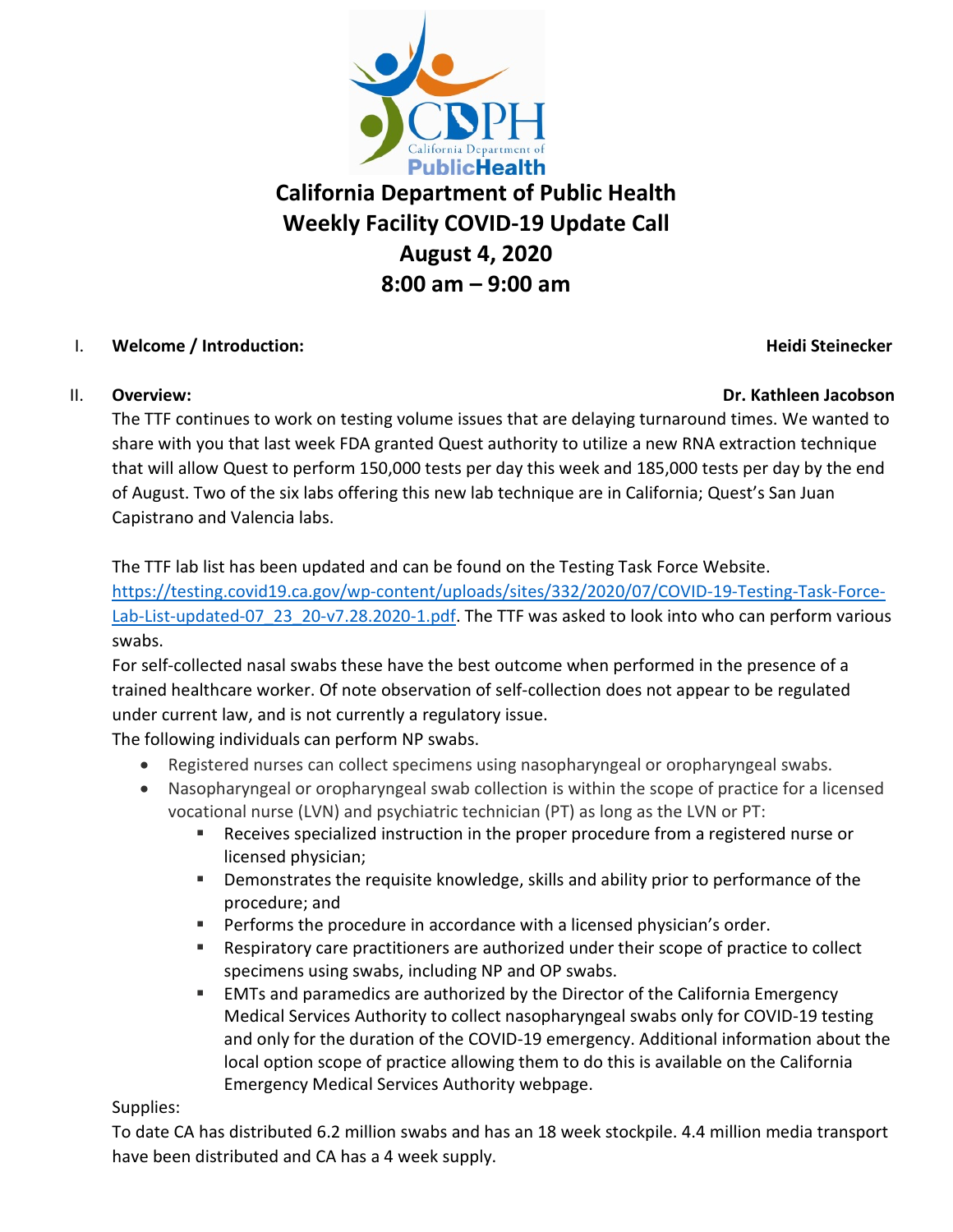

# **California Department of Public Health Weekly Facility COVID-19 Update Call August 4, 2020 8:00 am – 9:00 am**

# I. **Welcome / Introduction: Heidi Steinecker**

## II. **Overview: Dr. Kathleen Jacobson**

The TTF continues to work on testing volume issues that are delaying turnaround times. We wanted to share with you that last week FDA granted Quest authority to utilize a new RNA extraction technique that will allow Quest to perform 150,000 tests per day this week and 185,000 tests per day by the end of August. Two of the six labs offering this new lab technique are in California; Quest's San Juan Capistrano and Valencia labs.

The TTF lab list has been updated and can be found on the Testing Task Force Website.

[https://testing.covid19.ca.gov/wp-content/uploads/sites/332/2020/07/COVID-19-Testing-Task-Force-](https://testing.covid19.ca.gov/wp-content/uploads/sites/332/2020/07/COVID-19-Testing-Task-Force-Lab-List-updated-07_23_20-v7.28.2020-1.pdf)[Lab-List-updated-07\\_23\\_20-v7.28.2020-1.pdf.](https://testing.covid19.ca.gov/wp-content/uploads/sites/332/2020/07/COVID-19-Testing-Task-Force-Lab-List-updated-07_23_20-v7.28.2020-1.pdf) The TTF was asked to look into who can perform various swabs.

For self-collected nasal swabs these have the best outcome when performed in the presence of a trained healthcare worker. Of note observation of self-collection does not appear to be regulated under current law, and is not currently a regulatory issue.

The following individuals can perform NP swabs.

- Registered nurses can collect specimens using nasopharyngeal or oropharyngeal swabs.
- Nasopharyngeal or oropharyngeal swab collection is within the scope of practice for a licensed vocational nurse (LVN) and psychiatric technician (PT) as long as the LVN or PT:
	- Receives specialized instruction in the proper procedure from a registered nurse or licensed physician;
	- **Demonstrates the requisite knowledge, skills and ability prior to performance of the** procedure; and
	- **Performs the procedure in accordance with a licensed physician's order.**
	- Respiratory care practitioners are authorized under their scope of practice to collect specimens using swabs, including NP and OP swabs.
	- EMTs and paramedics are authorized by the Director of the California Emergency Medical Services Authority to collect nasopharyngeal swabs only for COVID-19 testing and only for the duration of the COVID-19 emergency. Additional information about the local option scope of practice allowing them to do this is available on the California Emergency Medical Services Authority webpage.

# Supplies:

To date CA has distributed 6.2 million swabs and has an 18 week stockpile. 4.4 million media transport have been distributed and CA has a 4 week supply.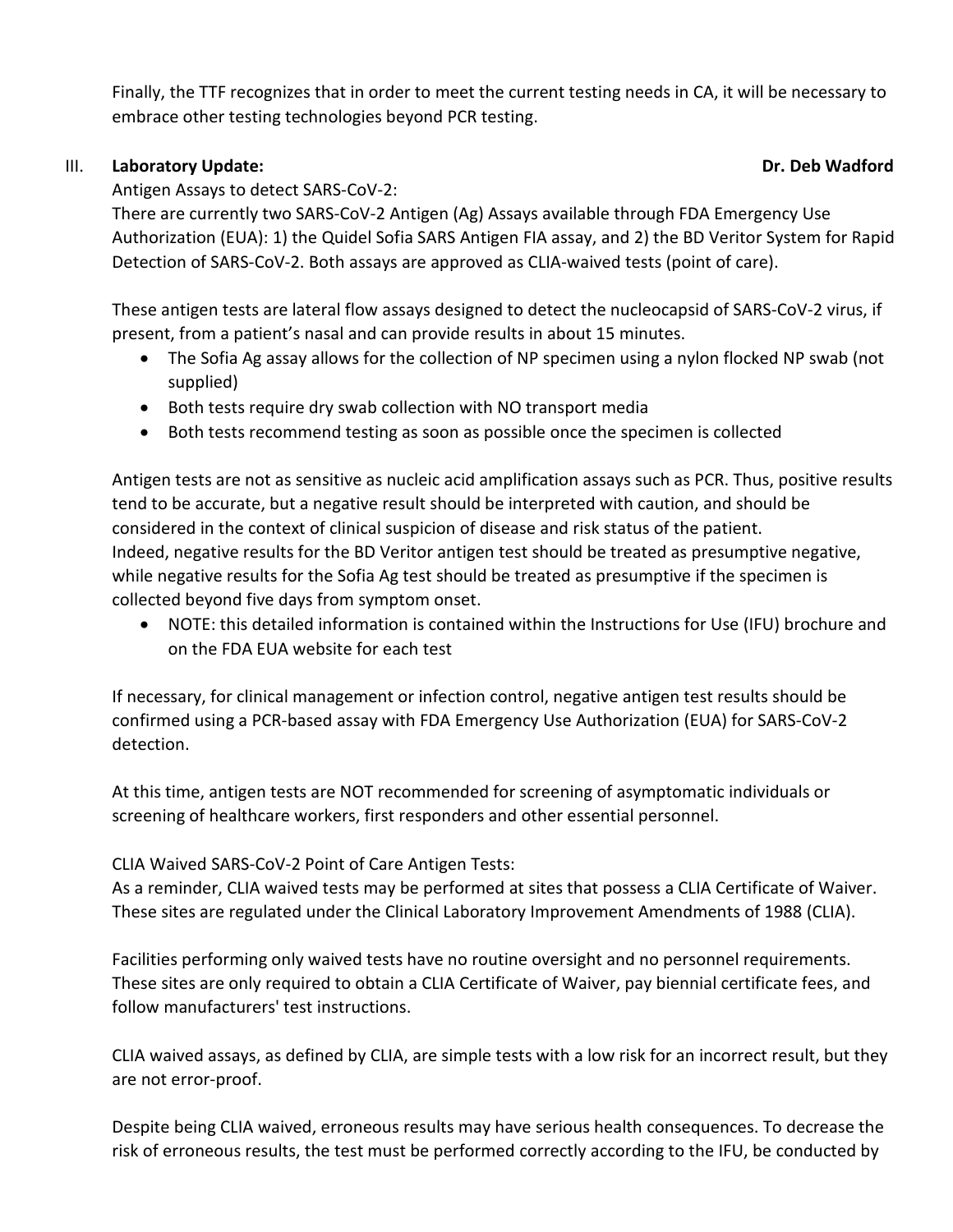Finally, the TTF recognizes that in order to meet the current testing needs in CA, it will be necessary to embrace other testing technologies beyond PCR testing.

### III. **Laboratory Update: Dr. Deb Wadford**

Antigen Assays to detect SARS-CoV-2:

There are currently two SARS-CoV-2 Antigen (Ag) Assays available through FDA Emergency Use Authorization (EUA): 1) the Quidel Sofia SARS Antigen FIA assay, and 2) the BD Veritor System for Rapid Detection of SARS-CoV-2. Both assays are approved as CLIA-waived tests (point of care).

These antigen tests are lateral flow assays designed to detect the nucleocapsid of SARS-CoV-2 virus, if present, from a patient's nasal and can provide results in about 15 minutes.

- The Sofia Ag assay allows for the collection of NP specimen using a nylon flocked NP swab (not supplied)
- Both tests require dry swab collection with NO transport media
- Both tests recommend testing as soon as possible once the specimen is collected

Antigen tests are not as sensitive as nucleic acid amplification assays such as PCR. Thus, positive results tend to be accurate, but a negative result should be interpreted with caution, and should be considered in the context of clinical suspicion of disease and risk status of the patient. Indeed, negative results for the BD Veritor antigen test should be treated as presumptive negative, while negative results for the Sofia Ag test should be treated as presumptive if the specimen is collected beyond five days from symptom onset.

• NOTE: this detailed information is contained within the Instructions for Use (IFU) brochure and on the FDA EUA website for each test

If necessary, for clinical management or infection control, negative antigen test results should be confirmed using a PCR-based assay with FDA Emergency Use Authorization (EUA) for SARS-CoV-2 detection.

At this time, antigen tests are NOT recommended for screening of asymptomatic individuals or screening of healthcare workers, first responders and other essential personnel.

CLIA Waived SARS-CoV-2 Point of Care Antigen Tests:

As a reminder, CLIA waived tests may be performed at sites that possess a CLIA Certificate of Waiver. These sites are regulated under the Clinical Laboratory Improvement Amendments of 1988 (CLIA).

Facilities performing only waived tests have no routine oversight and no personnel requirements. These sites are only required to obtain a CLIA Certificate of Waiver, pay biennial certificate fees, and follow manufacturers' test instructions.

CLIA waived assays, as defined by CLIA, are simple tests with a low risk for an incorrect result, but they are not error-proof.

Despite being CLIA waived, erroneous results may have serious health consequences. To decrease the risk of erroneous results, the test must be performed correctly according to the IFU, be conducted by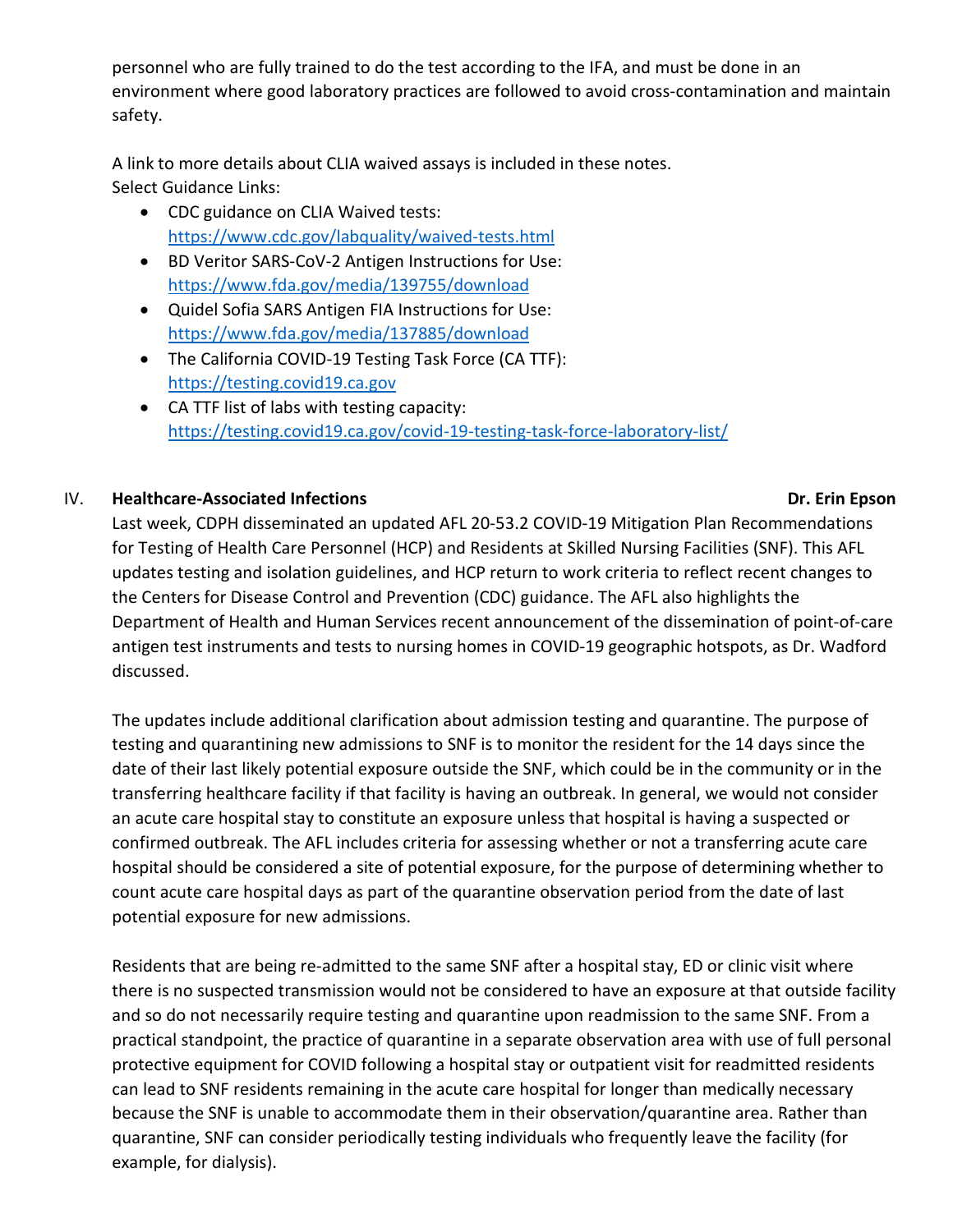personnel who are fully trained to do the test according to the IFA, and must be done in an environment where good laboratory practices are followed to avoid cross-contamination and maintain safety.

A link to more details about CLIA waived assays is included in these notes. Select Guidance Links:

- CDC guidance on CLIA Waived tests: <https://www.cdc.gov/labquality/waived-tests.html>
- BD Veritor SARS-CoV-2 Antigen Instructions for Use: <https://www.fda.gov/media/139755/download>
- Quidel Sofia SARS Antigen FIA Instructions for Use: <https://www.fda.gov/media/137885/download>
- The California COVID-19 Testing Task Force (CA TTF): [https://testing.covid19.ca.gov](https://testing.covid19.ca.gov/)
- CA TTF list of labs with testing capacity: <https://testing.covid19.ca.gov/covid-19-testing-task-force-laboratory-list/>

# IV. **Healthcare-Associated Infections Dr. Erin Epson**

Last week, CDPH disseminated an updated AFL 20-53.2 COVID-19 Mitigation Plan Recommendations for Testing of Health Care Personnel (HCP) and Residents at Skilled Nursing Facilities (SNF). This AFL updates testing and isolation guidelines, and HCP return to work criteria to reflect recent changes to the Centers for Disease Control and Prevention (CDC) guidance. The AFL also highlights the Department of Health and Human Services recent announcement of the dissemination of point-of-care antigen test instruments and tests to nursing homes in COVID-19 geographic hotspots, as Dr. Wadford discussed.

The updates include additional clarification about admission testing and quarantine. The purpose of testing and quarantining new admissions to SNF is to monitor the resident for the 14 days since the date of their last likely potential exposure outside the SNF, which could be in the community or in the transferring healthcare facility if that facility is having an outbreak. In general, we would not consider an acute care hospital stay to constitute an exposure unless that hospital is having a suspected or confirmed outbreak. The AFL includes criteria for assessing whether or not a transferring acute care hospital should be considered a site of potential exposure, for the purpose of determining whether to count acute care hospital days as part of the quarantine observation period from the date of last potential exposure for new admissions.

Residents that are being re-admitted to the same SNF after a hospital stay, ED or clinic visit where there is no suspected transmission would not be considered to have an exposure at that outside facility and so do not necessarily require testing and quarantine upon readmission to the same SNF. From a practical standpoint, the practice of quarantine in a separate observation area with use of full personal protective equipment for COVID following a hospital stay or outpatient visit for readmitted residents can lead to SNF residents remaining in the acute care hospital for longer than medically necessary because the SNF is unable to accommodate them in their observation/quarantine area. Rather than quarantine, SNF can consider periodically testing individuals who frequently leave the facility (for example, for dialysis).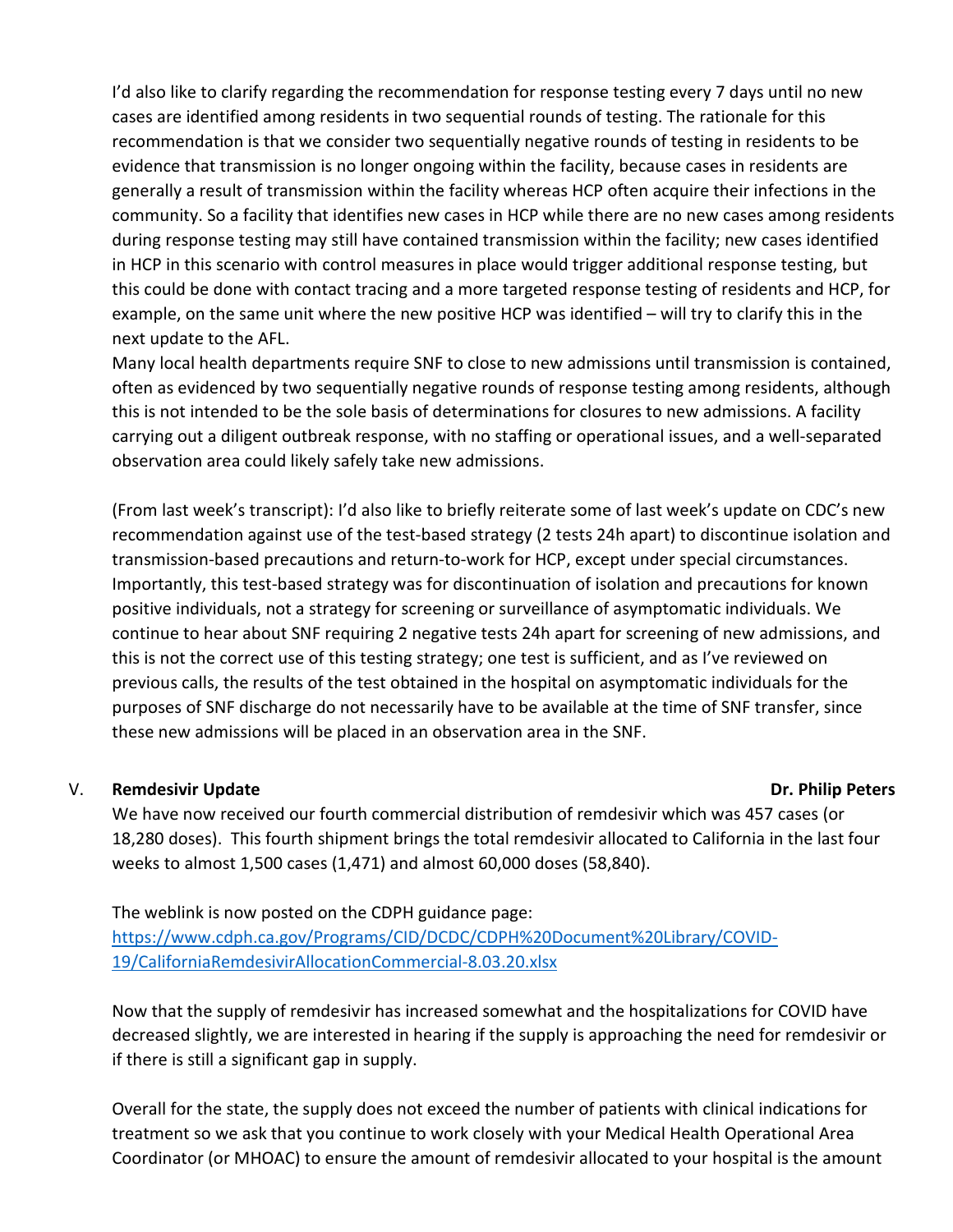I'd also like to clarify regarding the recommendation for response testing every 7 days until no new cases are identified among residents in two sequential rounds of testing. The rationale for this recommendation is that we consider two sequentially negative rounds of testing in residents to be evidence that transmission is no longer ongoing within the facility, because cases in residents are generally a result of transmission within the facility whereas HCP often acquire their infections in the community. So a facility that identifies new cases in HCP while there are no new cases among residents during response testing may still have contained transmission within the facility; new cases identified in HCP in this scenario with control measures in place would trigger additional response testing, but this could be done with contact tracing and a more targeted response testing of residents and HCP, for example, on the same unit where the new positive HCP was identified – will try to clarify this in the next update to the AFL.

Many local health departments require SNF to close to new admissions until transmission is contained, often as evidenced by two sequentially negative rounds of response testing among residents, although this is not intended to be the sole basis of determinations for closures to new admissions. A facility carrying out a diligent outbreak response, with no staffing or operational issues, and a well-separated observation area could likely safely take new admissions.

(From last week's transcript): I'd also like to briefly reiterate some of last week's update on CDC's new recommendation against use of the test-based strategy (2 tests 24h apart) to discontinue isolation and transmission-based precautions and return-to-work for HCP, except under special circumstances. Importantly, this test-based strategy was for discontinuation of isolation and precautions for known positive individuals, not a strategy for screening or surveillance of asymptomatic individuals. We continue to hear about SNF requiring 2 negative tests 24h apart for screening of new admissions, and this is not the correct use of this testing strategy; one test is sufficient, and as I've reviewed on previous calls, the results of the test obtained in the hospital on asymptomatic individuals for the purposes of SNF discharge do not necessarily have to be available at the time of SNF transfer, since these new admissions will be placed in an observation area in the SNF.

### V. **Remdesivir Update Area and Struck and Struck and Struck and Struck and Struck and Struck and Struck and Struck and Struck and Struck and Struck and Struck and Struck and Struck and Struck and Struck and Struck and Stru**

We have now received our fourth commercial distribution of remdesivir which was 457 cases (or 18,280 doses). This fourth shipment brings the total remdesivir allocated to California in the last four weeks to almost 1,500 cases (1,471) and almost 60,000 doses (58,840).

The weblink is now posted on the CDPH guidance page: [https://www.cdph.ca.gov/Programs/CID/DCDC/CDPH%20Document%20Library/COVID-](https://www.cdph.ca.gov/Programs/CID/DCDC/CDPH%20Document%20Library/COVID-19/CaliforniaRemdesivirAllocationCommercial-8.03.20.xlsx)[19/CaliforniaRemdesivirAllocationCommercial-8.03.20.xlsx](https://www.cdph.ca.gov/Programs/CID/DCDC/CDPH%20Document%20Library/COVID-19/CaliforniaRemdesivirAllocationCommercial-8.03.20.xlsx)

Now that the supply of remdesivir has increased somewhat and the hospitalizations for COVID have decreased slightly, we are interested in hearing if the supply is approaching the need for remdesivir or if there is still a significant gap in supply.

Overall for the state, the supply does not exceed the number of patients with clinical indications for treatment so we ask that you continue to work closely with your Medical Health Operational Area Coordinator (or MHOAC) to ensure the amount of remdesivir allocated to your hospital is the amount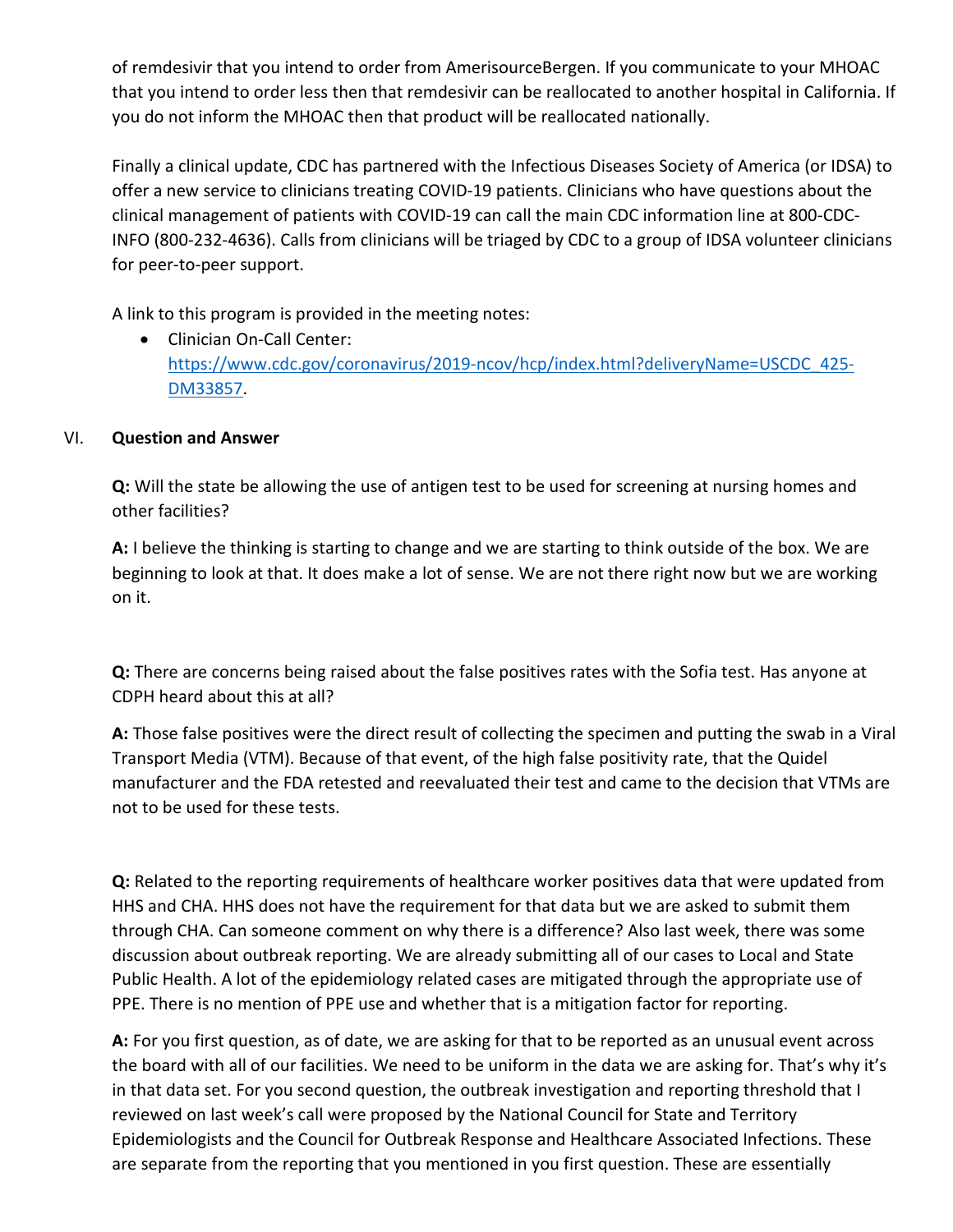of remdesivir that you intend to order from AmerisourceBergen. If you communicate to your MHOAC that you intend to order less then that remdesivir can be reallocated to another hospital in California. If you do not inform the MHOAC then that product will be reallocated nationally.

Finally a clinical update, CDC has partnered with the Infectious Diseases Society of America (or IDSA) to offer a new service to clinicians treating COVID-19 patients. Clinicians who have questions about the clinical management of patients with COVID-19 can call the main CDC information line at 800-CDC-INFO (800-232-4636). Calls from clinicians will be triaged by CDC to a group of IDSA volunteer clinicians for peer-to-peer support.

A link to this program is provided in the meeting notes:

• Clinician On-Call Center: [https://www.cdc.gov/coronavirus/2019-ncov/hcp/index.html?deliveryName=USCDC\\_425-](https://www.cdc.gov/coronavirus/2019-ncov/hcp/index.html?deliveryName=USCDC_425-DM33857) [DM33857.](https://www.cdc.gov/coronavirus/2019-ncov/hcp/index.html?deliveryName=USCDC_425-DM33857)

### VI. **Question and Answer**

**Q:** Will the state be allowing the use of antigen test to be used for screening at nursing homes and other facilities?

**A:** I believe the thinking is starting to change and we are starting to think outside of the box. We are beginning to look at that. It does make a lot of sense. We are not there right now but we are working on it.

**Q:** There are concerns being raised about the false positives rates with the Sofia test. Has anyone at CDPH heard about this at all?

**A:** Those false positives were the direct result of collecting the specimen and putting the swab in a Viral Transport Media (VTM). Because of that event, of the high false positivity rate, that the Quidel manufacturer and the FDA retested and reevaluated their test and came to the decision that VTMs are not to be used for these tests.

**Q:** Related to the reporting requirements of healthcare worker positives data that were updated from HHS and CHA. HHS does not have the requirement for that data but we are asked to submit them through CHA. Can someone comment on why there is a difference? Also last week, there was some discussion about outbreak reporting. We are already submitting all of our cases to Local and State Public Health. A lot of the epidemiology related cases are mitigated through the appropriate use of PPE. There is no mention of PPE use and whether that is a mitigation factor for reporting.

**A:** For you first question, as of date, we are asking for that to be reported as an unusual event across the board with all of our facilities. We need to be uniform in the data we are asking for. That's why it's in that data set. For you second question, the outbreak investigation and reporting threshold that I reviewed on last week's call were proposed by the National Council for State and Territory Epidemiologists and the Council for Outbreak Response and Healthcare Associated Infections. These are separate from the reporting that you mentioned in you first question. These are essentially